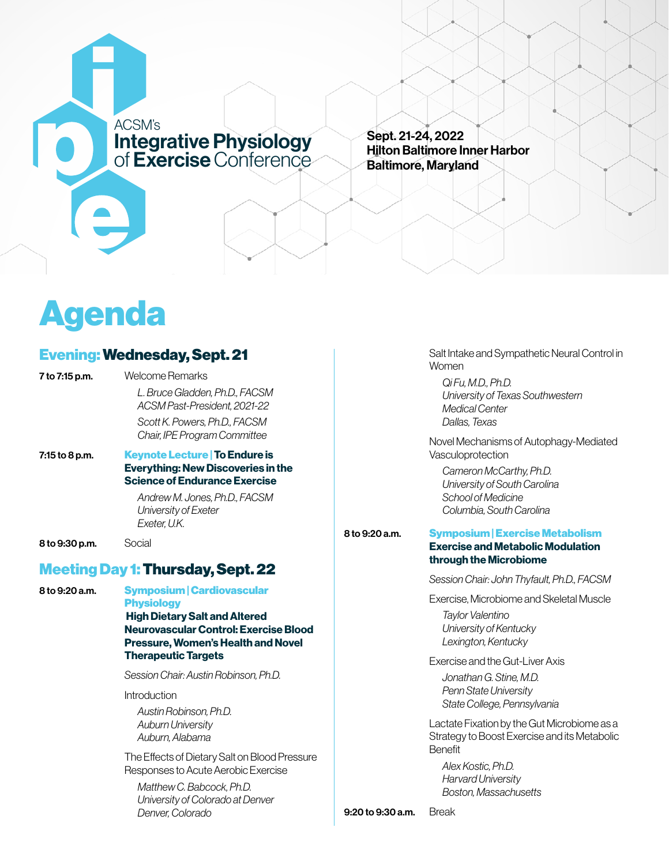

Sept. 21-24, 2022 Hilton Baltimore Inner Harbor Baltimore, Maryland

# Agenda

# Evening: Wednesday, Sept. 21

|  | 7 to 7:15 p.m. |  |
|--|----------------|--|
|  |                |  |

Welcome Remarks *L. Bruce Gladden, Ph.D., FACSM ACSM Past-President, 2021-22 Scott K. Powers, Ph.D., FACSM Chair, IPE Program Committee*

### 7:15 to 8 p.m. Keynote Lecture | To Endure is Everything: New Discoveries in the Science of Endurance Exercise

*Andrew M. Jones, Ph.D., FACSM University of Exeter Exeter, U.K.*

**8 to 9:30 p.m.** Social

# Meeting Day 1: Thursday, Sept. 22

8 to 9:20 a.m. Symposium | Cardiovascular

**Physiology** High Dietary Salt and Altered Neurovascular Control: Exercise Blood Pressure, Women's Health and Novel Therapeutic Targets

*Session Chair: Austin Robinson, Ph.D.*

Introduction

*Austin Robinson, Ph.D. Auburn University Auburn, Alabama*

The Effects of Dietary Salt on Blood Pressure Responses to Acute Aerobic Exercise

*Matthew C. Babcock, Ph.D. University of Colorado at Denver Denver, Colorado*

Salt Intake and Sympathetic Neural Control in Women

*Qi Fu, M.D., Ph.D. University of Texas Southwestern Medical Center Dallas, Texas*

Novel Mechanisms of Autophagy-Mediated Vasculoprotection

*Cameron McCarthy, Ph.D. University of South Carolina School of Medicine Columbia, South Carolina*

#### 8 to 9:20 a.m. Symposium | Exercise Metabolism Exercise and Metabolic Modulation through the Microbiome

*Session Chair: John Thyfault, Ph.D., FACSM*

Exercise, Microbiome and Skeletal Muscle

*Taylor Valentino University of Kentucky Lexington, Kentucky*

Exercise and the Gut-Liver Axis

*Jonathan G. Stine, M.D. Penn State University State College, Pennsylvania*

Lactate Fixation by the Gut Microbiome as a Strategy to Boost Exercise and its Metabolic Benefit

*Alex Kostic, Ph.D. Harvard University Boston, Massachusetts*

9:20 to 9:30 a.m. Break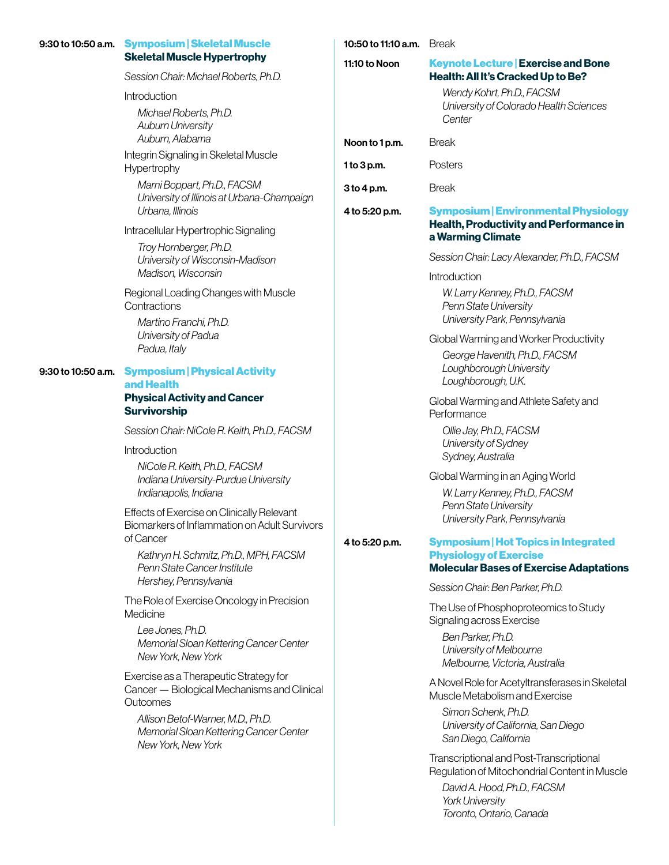|                    | 9:30 to 10:50 a.m. Symposium   Skeletal Muscle                                                    | 10:50 to 11:10 a.m. | <b>Break</b>                                                                                                             |  |
|--------------------|---------------------------------------------------------------------------------------------------|---------------------|--------------------------------------------------------------------------------------------------------------------------|--|
|                    | <b>Skeletal Muscle Hypertrophy</b><br>Session Chair: Michael Roberts, Ph.D.                       | 11:10 to Noon       | <b>Keynote Lecture   Exercise and Bone</b><br>Health: All It's Cracked Up to Be?                                         |  |
|                    | Introduction                                                                                      |                     | Wendy Kohrt, Ph.D., FACSM<br>University of Colorado Health Sciences<br>Center                                            |  |
|                    | Michael Roberts, Ph.D.<br><b>Auburn University</b>                                                |                     |                                                                                                                          |  |
|                    | Auburn, Alabama                                                                                   | Noon to 1 p.m.      | <b>Break</b>                                                                                                             |  |
|                    | Integrin Signaling in Skeletal Muscle<br>Hypertrophy                                              | 1 to 3 p.m.         | Posters                                                                                                                  |  |
|                    | Marni Boppart, Ph.D., FACSM<br>University of Illinois at Urbana-Champaign                         | $3$ to 4 p.m.       | <b>Break</b>                                                                                                             |  |
|                    | Urbana, Illinois                                                                                  | 4 to 5:20 p.m.      | <b>Symposium   Environmental Physiology</b><br><b>Health, Productivity and Performance in</b>                            |  |
|                    | Intracellular Hypertrophic Signaling                                                              |                     | a Warming Climate                                                                                                        |  |
|                    | Troy Hornberger, Ph.D.<br>University of Wisconsin-Madison                                         |                     | Session Chair: Lacy Alexander, Ph.D., FACSM                                                                              |  |
|                    | Madison, Wisconsin                                                                                |                     | Introduction                                                                                                             |  |
|                    | Regional Loading Changes with Muscle<br>Contractions                                              |                     | W. Larry Kenney, Ph.D., FACSM<br>Penn State University<br>University Park, Pennsylvania                                  |  |
|                    | Martino Franchi, Ph.D.<br>University of Padua                                                     |                     | Global Warming and Worker Productivity                                                                                   |  |
|                    | Padua, Italy                                                                                      |                     | George Havenith, Ph.D., FACSM                                                                                            |  |
| 9:30 to 10:50 a.m. | <b>Symposium   Physical Activity</b><br>and Health                                                |                     | Loughborough University<br>Loughborough, U.K.                                                                            |  |
|                    | <b>Physical Activity and Cancer</b><br><b>Survivorship</b>                                        |                     | Global Warming and Athlete Safety and<br>Performance                                                                     |  |
|                    | Session Chair: NiCole R. Keith, Ph.D., FACSM                                                      |                     | Ollie Jay, Ph.D., FACSM                                                                                                  |  |
|                    | Introduction                                                                                      |                     | University of Sydney<br>Sydney, Australia                                                                                |  |
|                    | NiCole R. Keith, Ph.D., FACSM<br>Indiana University-Purdue University<br>Indianapolis, Indiana    |                     | Global Warming in an Aging World<br>W. Larry Kenney, Ph.D., FACSM                                                        |  |
|                    | Effects of Exercise on Clinically Relevant<br>Biomarkers of Inflammation on Adult Survivors       |                     | Penn State University<br>University Park, Pennsylvania                                                                   |  |
|                    | of Cancer                                                                                         | 4 to 5:20 p.m.      | <b>Symposium   Hot Topics in Integrated</b>                                                                              |  |
|                    | Kathryn H. Schmitz, Ph.D., MPH, FACSM<br>Penn State Cancer Institute                              |                     | <b>Physiology of Exercise</b><br><b>Molecular Bases of Exercise Adaptations</b>                                          |  |
|                    | Hershey, Pennsylvania                                                                             |                     | Session Chair: Ben Parker, Ph.D.                                                                                         |  |
|                    | The Role of Exercise Oncology in Precision<br>Medicine                                            |                     | The Use of Phosphoproteomics to Study<br>Signaling across Exercise                                                       |  |
|                    | Lee Jones, Ph.D.<br>Memorial Sloan Kettering Cancer Center<br>New York, New York                  |                     | Ben Parker, Ph.D.<br>University of Melbourne<br>Melbourne, Victoria, Australia                                           |  |
|                    | Exercise as a Therapeutic Strategy for<br>Cancer - Biological Mechanisms and Clinical<br>Outcomes |                     | A Novel Role for Acetyltransferases in Skeletal<br>Muscle Metabolism and Exercise                                        |  |
|                    | Allison Betof-Warner, M.D., Ph.D.<br>Memorial Sloan Kettering Cancer Center<br>New York, New York |                     | Simon Schenk, Ph.D.<br>University of California, San Diego<br>San Diego, California                                      |  |
|                    |                                                                                                   |                     | Transcriptional and Post-Transcriptional<br>Regulation of Mitochondrial Content in Muscle<br>David A. Hood, Ph.D., FACSM |  |

*York University Toronto, Ontario, Canada*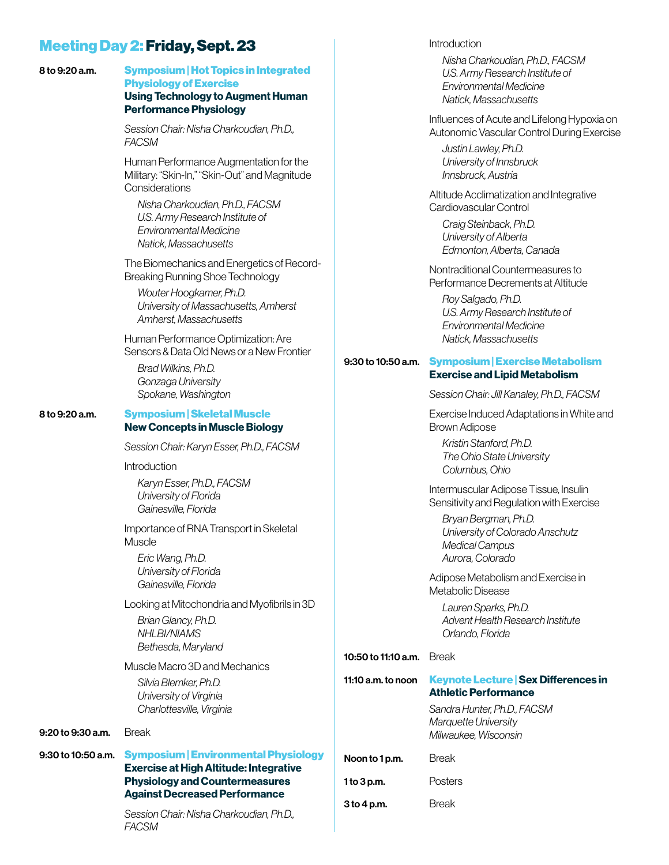# Meeting Day 2: Friday, Sept. 23

#### 8 to 9:20 a.m. Symposium | Hot Topics in Integrated Physiology of Exercise Using Technology to Augment Human Performance Physiology

*Session Chair: Nisha Charkoudian, Ph.D., FACSM*

Human Performance Augmentation for the Military: "Skin-In," "Skin-Out" and Magnitude **Considerations** 

*Nisha Charkoudian, Ph.D., FACSM U.S. Army Research Institute of Environmental Medicine Natick, Massachusetts*

The Biomechanics and Energetics of Record-Breaking Running Shoe Technology

*Wouter Hoogkamer, Ph.D. University of Massachusetts, Amherst Amherst, Massachusetts*

Human Performance Optimization: Are Sensors & Data Old News or a New Frontier

*Brad Wilkins, Ph.D. Gonzaga University Spokane, Washington*

#### 8 to 9:20 a.m. Symposium | Skeletal Muscle New Concepts in Muscle Biology

*Session Chair: Karyn Esser, Ph.D., FACSM*

**Introduction** 

*Karyn Esser, Ph.D., FACSM University of Florida Gainesville, Florida*

Importance of RNA Transport in Skeletal Muscle

*Eric Wang, Ph.D. University of Florida Gainesville, Florida*

Looking at Mitochondria and Myofibrils in 3D

*Brian Glancy, Ph.D. NHLBI/NIAMS Bethesda, Maryland*

Muscle Macro 3D and Mechanics

*Silvia Blemker, Ph.D. University of Virginia Charlottesville, Virginia*

#### 9:20 to 9:30 a.m. Break

#### 9:30 to 10:50 a.m. Symposium | Environmental Physiology Exercise at High Altitude: Integrative Physiology and Countermeasures Against Decreased Performance

*Session Chair: Nisha Charkoudian, Ph.D., FACSM*

**Introduction** 

*Nisha Charkoudian, Ph.D., FACSM U.S. Army Research Institute of Environmental Medicine Natick, Massachusetts*

Influences of Acute and Lifelong Hypoxia on Autonomic Vascular Control During Exercise

*Justin Lawley, Ph.D. University of Innsbruck Innsbruck, Austria*

Altitude Acclimatization and Integrative Cardiovascular Control

*Craig Steinback, Ph.D. University of Alberta Edmonton, Alberta, Canada*

Nontraditional Countermeasures to Performance Decrements at Altitude

*Roy Salgado, Ph.D. U.S. Army Research Institute of Environmental Medicine Natick, Massachusetts*

#### 9:30 to 10:50 a.m. Symposium | Exercise Metabolism Exercise and Lipid Metabolism

*Session Chair: Jill Kanaley, Ph.D., FACSM*

Exercise Induced Adaptations in White and Brown Adipose

*Kristin Stanford, Ph.D. The Ohio State University Columbus, Ohio*

Intermuscular Adipose Tissue, Insulin Sensitivity and Regulation with Exercise

*Bryan Bergman, Ph.D. University of Colorado Anschutz Medical Campus Aurora, Colorado*

Adipose Metabolism and Exercise in Metabolic Disease

*Lauren Sparks, Ph.D. Advent Health Research Institute Orlando, Florida*

### 10:50 to 11:10 a.m. Break

| 11:10 $a.m.$ to noon | <b>Keynote Lecture   Sex Differences in</b><br><b>Athletic Performance</b>  |  |  |
|----------------------|-----------------------------------------------------------------------------|--|--|
|                      | Sandra Hunter. Ph.D., FACSM<br>Marquette University<br>Milwaukee. Wisconsin |  |  |
| Noon to 1 p.m.       | <b>Break</b>                                                                |  |  |
| 1 to $3$ p.m.        | Posters                                                                     |  |  |
| 3 to 4 p.m.          | Break                                                                       |  |  |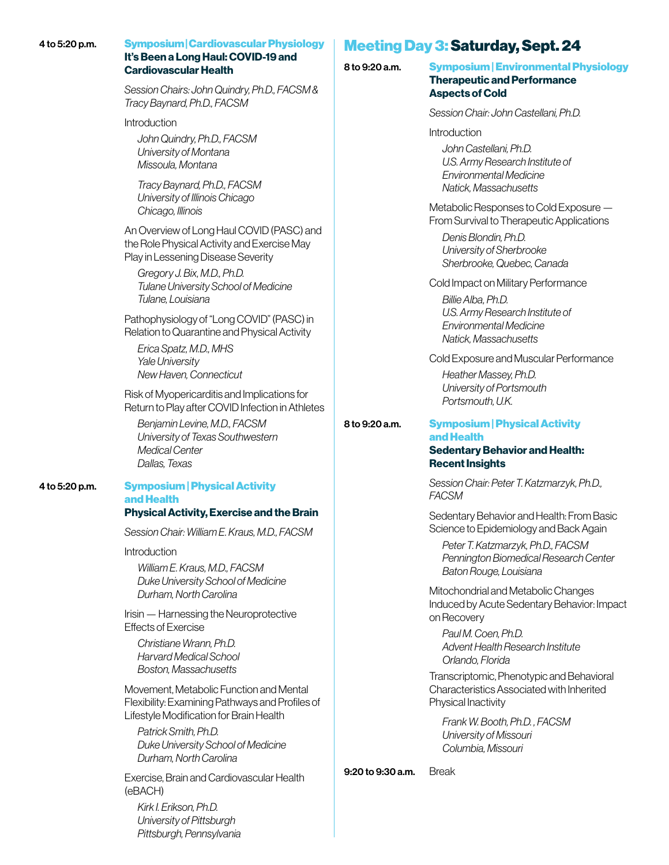#### 4 to 5:20 p.m. Symposium | Cardiovascular Physiology It's Been a Long Haul: COVID-19 and

# Cardiovascular Health

*Session Chairs: John Quindry, Ph.D., FACSM & Tracy Baynard, Ph.D., FACSM*

Introduction

*John Quindry, Ph.D., FACSM University of Montana Missoula, Montana*

*Tracy Baynard, Ph.D., FACSM University of Illinois Chicago Chicago, Illinois*

An Overview of Long Haul COVID (PASC) and the Role Physical Activity and Exercise May Play in Lessening Disease Severity

*Gregory J. Bix, M.D., Ph.D. Tulane University School of Medicine Tulane, Louisiana*

Pathophysiology of "Long COVID" (PASC) in Relation to Quarantine and Physical Activity

*Erica Spatz, M.D., MHS Yale University New Haven, Connecticut*

Risk of Myopericarditis and Implications for Return to Play after COVID Infection in Athletes

*Benjamin Levine, M.D., FACSM University of Texas Southwestern Medical Center Dallas, Texas*

#### 4 to 5:20 p.m. Symposium | Physical Activity and Health Physical Activity, Exercise and the Brain

*Session Chair: William E. Kraus, M.D., FACSM*

Introduction

*William E. Kraus, M.D., FACSM Duke University School of Medicine Durham, North Carolina*

Irisin — Harnessing the Neuroprotective Effects of Exercise

*Christiane Wrann, Ph.D. Harvard Medical School Boston, Massachusetts*

Movement, Metabolic Function and Mental Flexibility: Examining Pathways and Profiles of Lifestyle Modification for Brain Health

*Patrick Smith, Ph.D. Duke University School of Medicine Durham, North Carolina*

Exercise, Brain and Cardiovascular Health (eBACH)

*Kirk I. Erikson, Ph.D. University of Pittsburgh Pittsburgh, Pennsylvania*

# Meeting Day 3: Saturday, Sept. 24

8 to 9:20 a.m. Symposium | Environmental Physiology Therapeutic and Performance Aspects of Cold

*Session Chair: John Castellani, Ph.D.*

**Introduction** 

*John Castellani, Ph.D. U.S. Army Research Institute of Environmental Medicine Natick, Massachusetts*

Metabolic Responses to Cold Exposure — From Survival to Therapeutic Applications

*Denis Blondin, Ph.D. University of Sherbrooke Sherbrooke, Quebec, Canada*

Cold Impact on Military Performance

*Billie Alba, Ph.D. U.S. Army Research Institute of Environmental Medicine Natick, Massachusetts*

Cold Exposure and Muscular Performance

*Heather Massey, Ph.D. University of Portsmouth Portsmouth, U.K.*

## 8 to 9:20 a.m. Symposium | Physical Activity and Health

### Sedentary Behavior and Health: Recent Insights

*Session Chair: Peter T. Katzmarzyk, Ph.D., FACSM*

Sedentary Behavior and Health: From Basic Science to Epidemiology and Back Again

*Peter T. Katzmarzyk, Ph.D., FACSM Pennington Biomedical Research Center Baton Rouge, Louisiana*

Mitochondrial and Metabolic Changes Induced by Acute Sedentary Behavior: Impact on Recovery

*Paul M. Coen, Ph.D. Advent Health Research Institute Orlando, Florida*

Transcriptomic, Phenotypic and Behavioral Characteristics Associated with Inherited Physical Inactivity

*Frank W. Booth, Ph.D. , FACSM University of Missouri Columbia, Missouri*

#### 9:20 to 9:30 a.m. Break